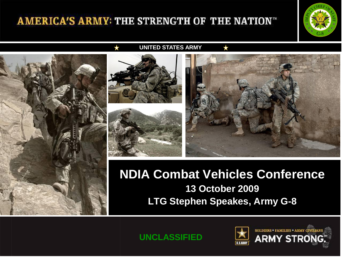## AMERICA'S ARMY: THE STRENGTH OF THE NATION"



**UNITED STATES ARMY**





# **NDIA Combat Vehicles Conference 13 October 2009 LTG Stephen Speakes, Army G-8**

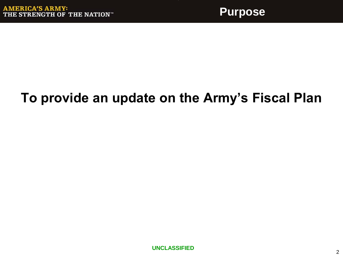# **To provide an update on the Army's Fiscal Plan**

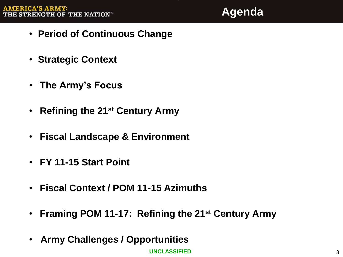**Agenda**

- **Period of Continuous Change**
- **Strategic Context**
- **The Army's Focus**
- **Refining the 21st Century Army**
- **Fiscal Landscape & Environment**
- **FY 11-15 Start Point**
- **Fiscal Context / POM 11-15 Azimuths**
- **Framing POM 11-17: Refining the 21st Century Army**
- **Army Challenges / Opportunities**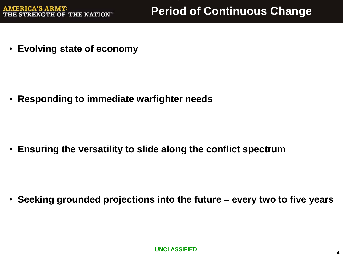• **Evolving state of economy** 

• **Responding to immediate warfighter needs**

• **Ensuring the versatility to slide along the conflict spectrum**

• **Seeking grounded projections into the future – every two to five years**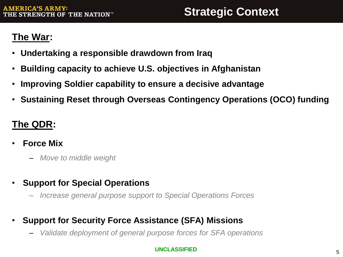## **The War:**

- **Undertaking a responsible drawdown from Iraq**
- **Building capacity to achieve U.S. objectives in Afghanistan**
- **Improving Soldier capability to ensure a decisive advantage**
- **Sustaining Reset through Overseas Contingency Operations (OCO) funding**

## **The QDR:**

- **Force Mix** 
	- *Move to middle weight*
- **Support for Special Operations**
	- *Increase general purpose support to Special Operations Forces*
- **Support for Security Force Assistance (SFA) Missions**
	- *Validate deployment of general purpose forces for SFA operations*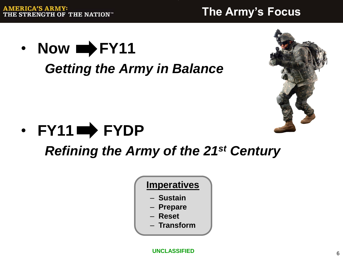# **The Army's Focus**

• **Now**  $\rightarrow$  **FY11** *Getting the Army in Balance* 





*Refining the Army of the 21st Century*

**Imperatives**

- **Sustain**
- **Prepare**
- **Reset**
- **Transform**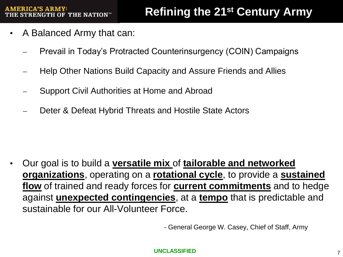# **Refining the 21st Century Army**

- A Balanced Army that can:
	- ̶ Prevail in Today's Protracted Counterinsurgency (COIN) Campaigns
	- ̶ Help Other Nations Build Capacity and Assure Friends and Allies
	- ̶ Support Civil Authorities at Home and Abroad
	- Deter & Defeat Hybrid Threats and Hostile State Actors

• Our goal is to build a **versatile mix** of **tailorable and networked organizations**, operating on a **rotational cycle**, to provide a **sustained flow** of trained and ready forces for **current commitments** and to hedge against **unexpected contingencies**, at a **tempo** that is predictable and sustainable for our All-Volunteer Force.

- General George W. Casey, Chief of Staff, Army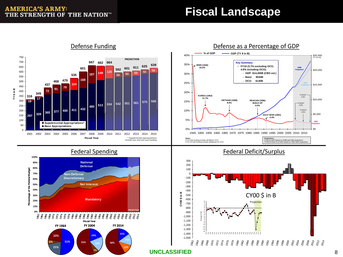## **Fiscal Landscape**





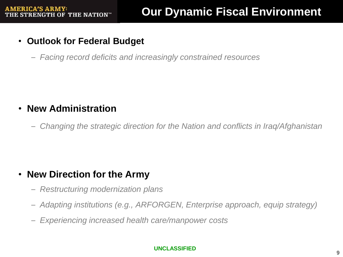- **Outlook for Federal Budget**
	- *Facing record deficits and increasingly constrained resources*

### • **New Administration**

– *Changing the strategic direction for the Nation and conflicts in Iraq/Afghanistan*

## • **New Direction for the Army**

- *Restructuring modernization plans*
- *Adapting institutions (e.g., ARFORGEN, Enterprise approach, equip strategy)*
- *Experiencing increased health care/manpower costs*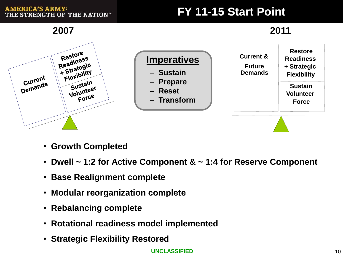#### **AMERICA'S ARMY:** THE STRENGTH OF THE NATION™

# **FY 11-15 Start Point**

**2007 2011**



- **Growth Completed**
- **Dwell ~ 1:2 for Active Component & ~ 1:4 for Reserve Component**
- **Base Realignment complete**
- **Modular reorganization complete**
- **Rebalancing complete**
- **Rotational readiness model implemented**
- **Strategic Flexibility Restored**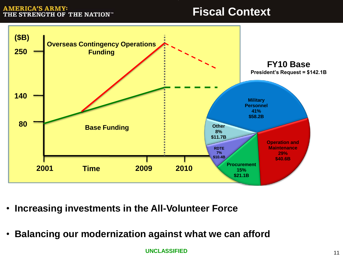#### **AMERICA'S ARMY:** THE STRENGTH OF THE NATION"

## **Fiscal Context**



- **Increasing investments in the All-Volunteer Force**
- **Balancing our modernization against what we can afford**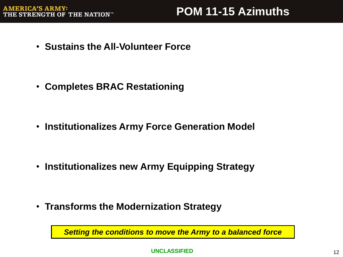• **Sustains the All-Volunteer Force**

• **Completes BRAC Restationing**

• **Institutionalizes Army Force Generation Model**

• **Institutionalizes new Army Equipping Strategy**

• **Transforms the Modernization Strategy**

*Setting the conditions to move the Army to a balanced force*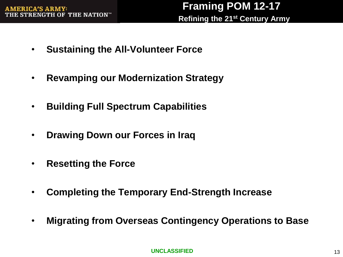- **Sustaining the All-Volunteer Force**
- **Revamping our Modernization Strategy**
- **Building Full Spectrum Capabilities**
- **Drawing Down our Forces in Iraq**
- **Resetting the Force**
- **Completing the Temporary End-Strength Increase**
- **Migrating from Overseas Contingency Operations to Base**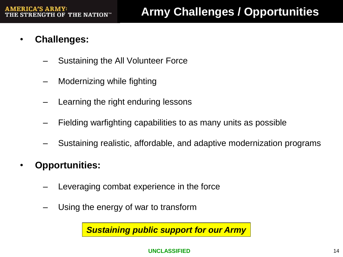- **Challenges:**
	- Sustaining the All Volunteer Force
	- Modernizing while fighting
	- Learning the right enduring lessons
	- Fielding warfighting capabilities to as many units as possible
	- Sustaining realistic, affordable, and adaptive modernization programs
- **Opportunities:**
	- Leveraging combat experience in the force
	- Using the energy of war to transform

*Sustaining public support for our Army*